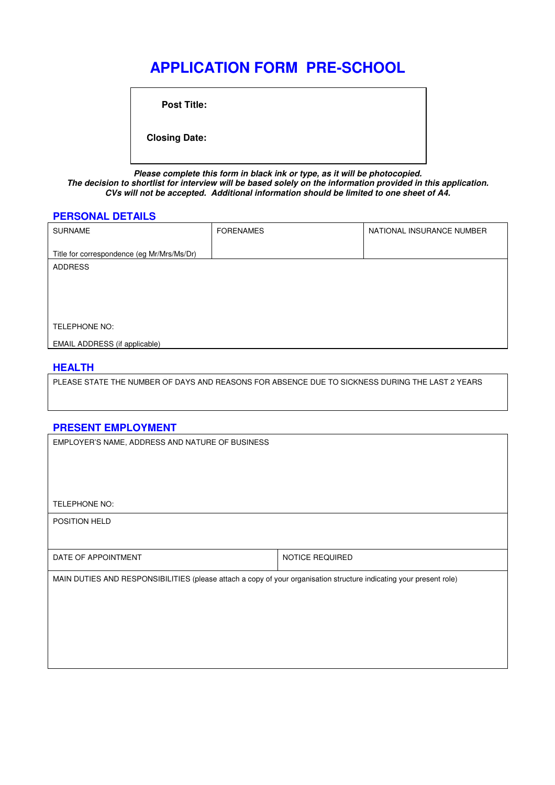# **APPLICATION FORM PRE-SCHOOL**

**Post Title:** 

 **Closing Date:**

**Please complete this form in black ink or type, as it will be photocopied. The decision to shortlist for interview will be based solely on the information provided in this application. CVs will not be accepted. Additional information should be limited to one sheet of A4.** 

#### **PERSONAL DETAILS**

| <b>SURNAME</b>                             | <b>FORENAMES</b> | NATIONAL INSURANCE NUMBER |
|--------------------------------------------|------------------|---------------------------|
| Title for correspondence (eg Mr/Mrs/Ms/Dr) |                  |                           |
| <b>ADDRESS</b>                             |                  |                           |
|                                            |                  |                           |
|                                            |                  |                           |
|                                            |                  |                           |
| TELEPHONE NO:                              |                  |                           |
| <b>EMAIL ADDRESS (if applicable)</b>       |                  |                           |

## **HEALTH**

PLEASE STATE THE NUMBER OF DAYS AND REASONS FOR ABSENCE DUE TO SICKNESS DURING THE LAST 2 YEARS

## **PRESENT EMPLOYMENT**

EMPLOYER'S NAME, ADDRESS AND NATURE OF BUSINESS

TELEPHONE NO:

POSITION HELD

| DATE OF APPOINTMENT | <b>TICE REQUIRED</b><br>NO <sup>'</sup> |
|---------------------|-----------------------------------------|
|                     |                                         |

MAIN DUTIES AND RESPONSIBILITIES (please attach a copy of your organisation structure indicating your present role)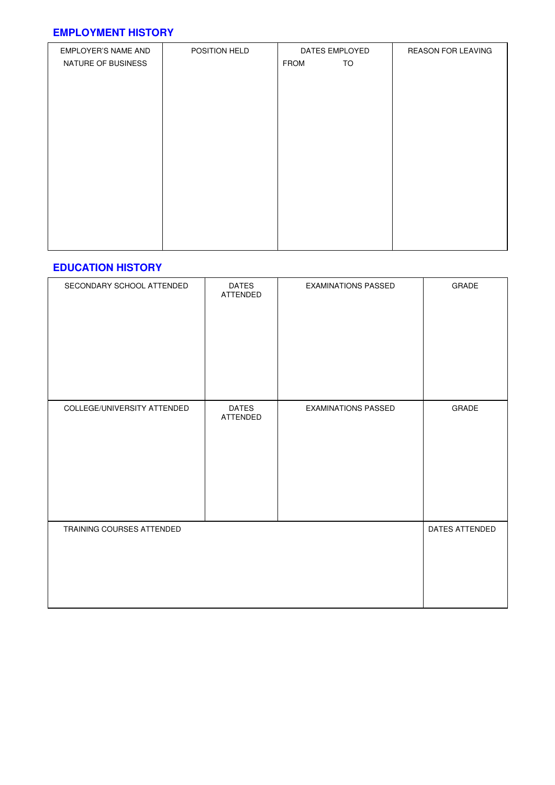## **EMPLOYMENT HISTORY**

| EMPLOYER'S NAME AND | POSITION HELD | DATES EMPLOYED    | <b>REASON FOR LEAVING</b> |
|---------------------|---------------|-------------------|---------------------------|
| NATURE OF BUSINESS  |               | TO<br><b>FROM</b> |                           |
|                     |               |                   |                           |
|                     |               |                   |                           |
|                     |               |                   |                           |
|                     |               |                   |                           |
|                     |               |                   |                           |
|                     |               |                   |                           |
|                     |               |                   |                           |
|                     |               |                   |                           |
|                     |               |                   |                           |
|                     |               |                   |                           |
|                     |               |                   |                           |
|                     |               |                   |                           |
|                     |               |                   |                           |
|                     |               |                   |                           |
|                     |               |                   |                           |
|                     |               |                   |                           |

## **EDUCATION HISTORY**

| SECONDARY SCHOOL ATTENDED   | <b>DATES</b><br>ATTENDED | <b>EXAMINATIONS PASSED</b> | GRADE          |
|-----------------------------|--------------------------|----------------------------|----------------|
| COLLEGE/UNIVERSITY ATTENDED | <b>DATES</b><br>ATTENDED | <b>EXAMINATIONS PASSED</b> | GRADE          |
| TRAINING COURSES ATTENDED   |                          |                            | DATES ATTENDED |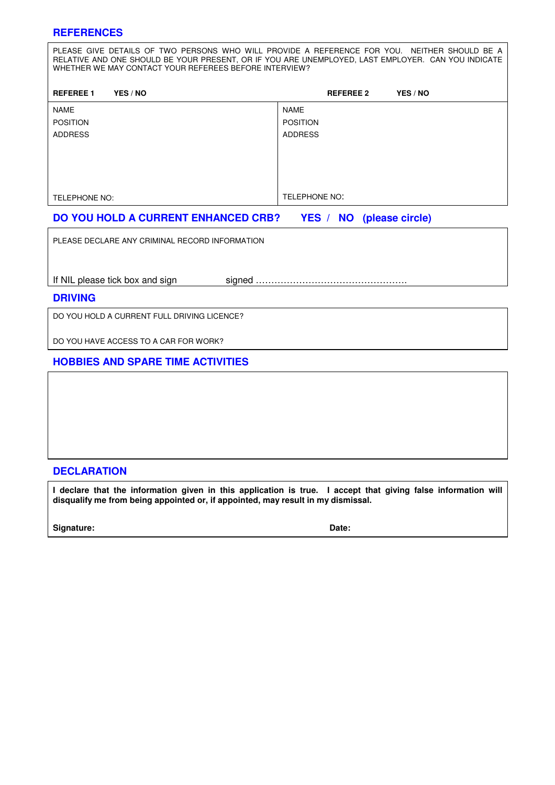## **REFERENCES**

PLEASE GIVE DETAILS OF TWO PERSONS WHO WILL PROVIDE A REFERENCE FOR YOU. NEITHER SHOULD BE A RELATIVE AND ONE SHOULD BE YOUR PRESENT, OR IF YOU ARE UNEMPLOYED, LAST EMPLOYER. CAN YOU INDICATE WHETHER WE MAY CONTACT YOUR REFEREES BEFORE INTERVIEW?

| <b>REFEREE 1</b><br>YES / NO | <b>REFEREE 2</b><br>YES / NO |
|------------------------------|------------------------------|
| <b>NAME</b>                  | <b>NAME</b>                  |
| <b>POSITION</b>              | <b>POSITION</b>              |
| <b>ADDRESS</b>               | <b>ADDRESS</b>               |
|                              |                              |
|                              |                              |
|                              |                              |
|                              |                              |
| TELEPHONE NO:                | TELEPHONE NO:                |

## **DO YOU HOLD A CURRENT ENHANCED CRB? YES / NO (please circle)**

PLEASE DECLARE ANY CRIMINAL RECORD INFORMATION

If NIL please tick box and sign signed

#### **DRIVING**

DO YOU HOLD A CURRENT FULL DRIVING LICENCE?

DO YOU HAVE ACCESS TO A CAR FOR WORK?

## **HOBBIES AND SPARE TIME ACTIVITIES**

## **DECLARATION**

**I declare that the information given in this application is true. I accept that giving false information will disqualify me from being appointed or, if appointed, may result in my dismissal.** 

Signature: Date: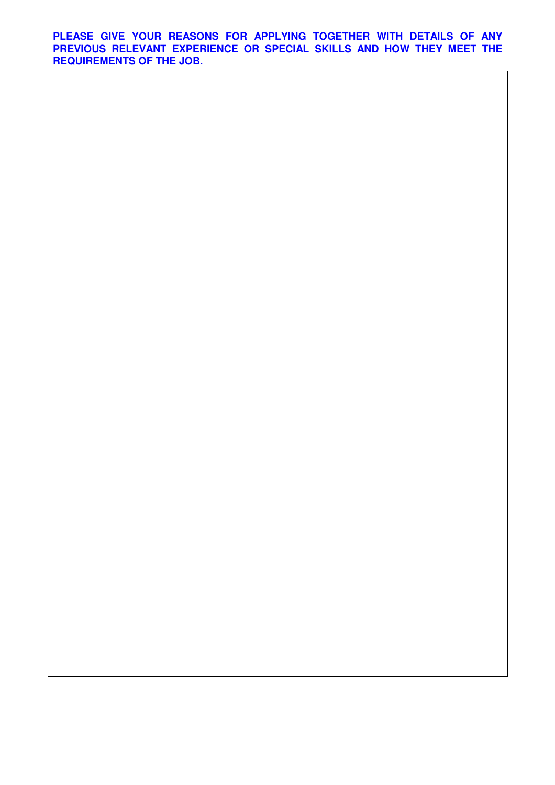**PLEASE GIVE YOUR REASONS FOR APPLYING TOGETHER WITH DETAILS OF ANY PREVIOUS RELEVANT EXPERIENCE OR SPECIAL SKILLS AND HOW THEY MEET THE REQUIREMENTS OF THE JOB.**